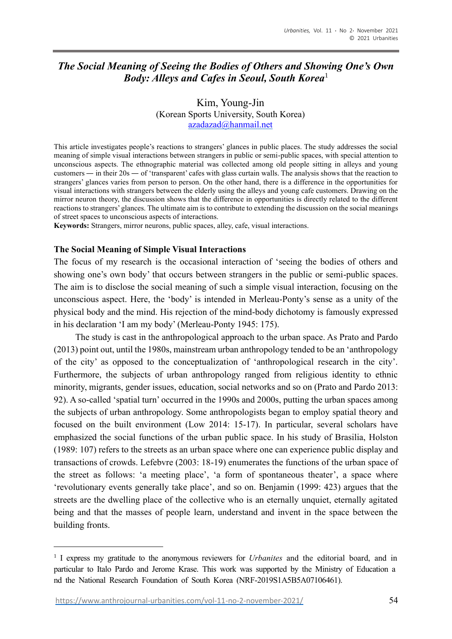# *The Social Meaning of Seeing the Bodies of Others and Showing One's Own Body: Alleys and Cafes in Seoul, South Korea*<sup>1</sup>

Kim, Young-Jin (Korean Sports University, South Korea) [azadazad@hanmail.net](mailto:azadazad@hanmail.net)

This article investigates people's reactions to strangers' glances in public places. The study addresses the social meaning of simple visual interactions between strangers in public or semi-public spaces, with special attention to unconscious aspects. The ethnographic material was collected among old people sitting in alleys and young customers — in their 20s — of 'transparent' cafes with glass curtain walls. The analysis shows that the reaction to strangers' glances varies from person to person. On the other hand, there is a difference in the opportunities for visual interactions with strangers between the elderly using the alleys and young cafe customers. Drawing on the mirror neuron theory, the discussion shows that the difference in opportunities is directly related to the different reactions to strangers' glances. The ultimate aim is to contribute to extending the discussion on the social meanings of street spaces to unconscious aspects of interactions.

**Keywords:** Strangers, mirror neurons, public spaces, alley, cafe, visual interactions.

#### **The Social Meaning of Simple Visual Interactions**

The focus of my research is the occasional interaction of 'seeing the bodies of others and showing one's own body' that occurs between strangers in the public or semi-public spaces. The aim is to disclose the social meaning of such a simple visual interaction, focusing on the unconscious aspect. Here, the 'body' is intended in Merleau-Ponty's sense as a unity of the physical body and the mind. His rejection of the mind-body dichotomy is famously expressed in his declaration 'I am my body' (Merleau-Ponty 1945: 175).

The study is cast in the anthropological approach to the urban space. As Prato and Pardo (2013) point out, until the 1980s, mainstream urban anthropology tended to be an 'anthropology of the city' as opposed to the conceptualization of 'anthropological research in the city'. Furthermore, the subjects of urban anthropology ranged from religious identity to ethnic minority, migrants, gender issues, education, social networks and so on (Prato and Pardo 2013: 92). A so-called 'spatial turn' occurred in the 1990s and 2000s, putting the urban spaces among the subjects of urban anthropology. Some anthropologists began to employ spatial theory and focused on the built environment (Low 2014: 15-17). In particular, several scholars have emphasized the social functions of the urban public space. In his study of Brasilia, Holston (1989: 107) refers to the streets as an urban space where one can experience public display and transactions of crowds. Lefebvre (2003: 18-19) enumerates the functions of the urban space of the street as follows: 'a meeting place', 'a form of spontaneous theater', a space where 'revolutionary events generally take place', and so on. Benjamin (1999: 423) argues that the streets are the dwelling place of the collective who is an eternally unquiet, eternally agitated being and that the masses of people learn, understand and invent in the space between the building fronts.

<sup>&</sup>lt;sup>1</sup> I express my gratitude to the anonymous reviewers for *Urbanites* and the editorial board, and in particular to Italo Pardo and Jerome Krase. This work was supported by the Ministry of Education a nd the National Research Foundation of South Korea (NRF-2019S1A5B5A07106461).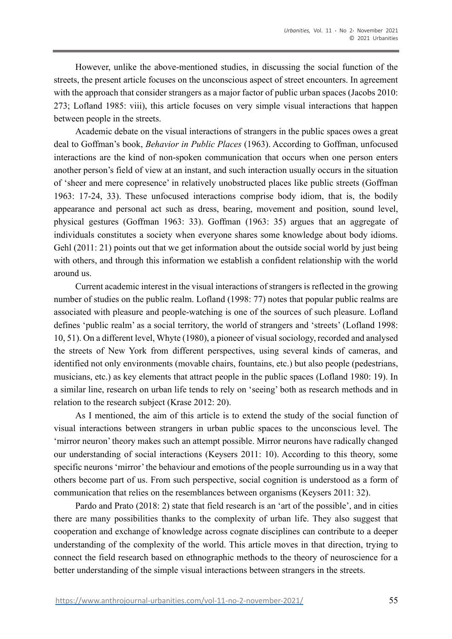However, unlike the above-mentioned studies, in discussing the social function of the streets, the present article focuses on the unconscious aspect of street encounters. In agreement with the approach that consider strangers as a major factor of public urban spaces (Jacobs 2010: 273; Lofland 1985: viii), this article focuses on very simple visual interactions that happen between people in the streets.

Academic debate on the visual interactions of strangers in the public spaces owes a great deal to Goffman's book, *Behavior in Public Places* (1963). According to Goffman, unfocused interactions are the kind of non-spoken communication that occurs when one person enters another person's field of view at an instant, and such interaction usually occurs in the situation of 'sheer and mere copresence' in relatively unobstructed places like public streets (Goffman 1963: 17-24, 33). These unfocused interactions comprise body idiom, that is, the bodily appearance and personal act such as dress, bearing, movement and position, sound level, physical gestures (Goffman 1963: 33). Goffman (1963: 35) argues that an aggregate of individuals constitutes a society when everyone shares some knowledge about body idioms. Gehl (2011: 21) points out that we get information about the outside social world by just being with others, and through this information we establish a confident relationship with the world around us.

Current academic interest in the visual interactions of strangers is reflected in the growing number of studies on the public realm. Lofland (1998: 77) notes that popular public realms are associated with pleasure and people-watching is one of the sources of such pleasure. Lofland defines 'public realm' as a social territory, the world of strangers and 'streets' (Lofland 1998: 10, 51). On a different level, Whyte (1980), a pioneer of visual sociology, recorded and analysed the streets of New York from different perspectives, using several kinds of cameras, and identified not only environments (movable chairs, fountains, etc.) but also people (pedestrians, musicians, etc.) as key elements that attract people in the public spaces (Lofland 1980: 19). In a similar line, research on urban life tends to rely on 'seeing' both as research methods and in relation to the research subject (Krase 2012: 20).

As I mentioned, the aim of this article is to extend the study of the social function of visual interactions between strangers in urban public spaces to the unconscious level. The 'mirror neuron' theory makes such an attempt possible. Mirror neurons have radically changed our understanding of social interactions (Keysers 2011: 10). According to this theory, some specific neurons 'mirror' the behaviour and emotions of the people surrounding us in a way that others become part of us. From such perspective, social cognition is understood as a form of communication that relies on the resemblances between organisms (Keysers 2011: 32).

Pardo and Prato (2018: 2) state that field research is an 'art of the possible', and in cities there are many possibilities thanks to the complexity of urban life. They also suggest that cooperation and exchange of knowledge across cognate disciplines can contribute to a deeper understanding of the complexity of the world. This article moves in that direction, trying to connect the field research based on ethnographic methods to the theory of neuroscience for a better understanding of the simple visual interactions between strangers in the streets.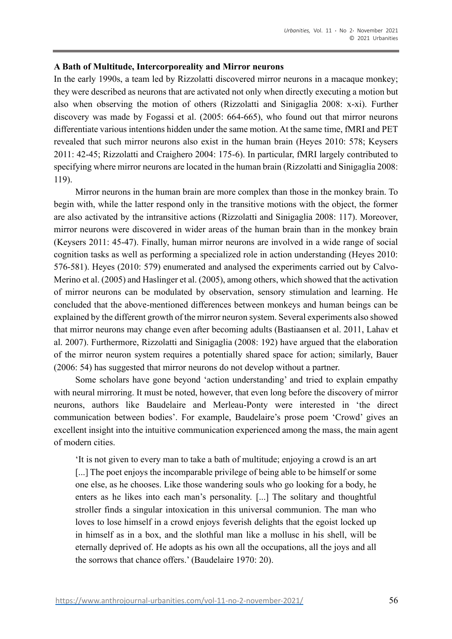#### **A Bath of Multitude, Intercorporeality and Mirror neurons**

In the early 1990s, a team led by Rizzolatti discovered mirror neurons in a macaque monkey; they were described as neurons that are activated not only when directly executing a motion but also when observing the motion of others (Rizzolatti and Sinigaglia 2008: x-xi). Further discovery was made by Fogassi et al. (2005: 664-665), who found out that mirror neurons differentiate various intentions hidden under the same motion. At the same time, fMRI and PET revealed that such mirror neurons also exist in the human brain (Heyes 2010: 578; Keysers 2011: 42-45; Rizzolatti and Craighero 2004: 175-6). In particular, fMRI largely contributed to specifying where mirror neurons are located in the human brain (Rizzolatti and Sinigaglia 2008: 119).

Mirror neurons in the human brain are more complex than those in the monkey brain. To begin with, while the latter respond only in the transitive motions with the object, the former are also activated by the intransitive actions (Rizzolatti and Sinigaglia 2008: 117). Moreover, mirror neurons were discovered in wider areas of the human brain than in the monkey brain (Keysers 2011: 45-47). Finally, human mirror neurons are involved in a wide range of social cognition tasks as well as performing a specialized role in action understanding (Heyes 2010: 576-581). Heyes (2010: 579) enumerated and analysed the experiments carried out by Calvo-Merino et al. (2005) and Haslinger et al. (2005), among others, which showed that the activation of mirror neurons can be modulated by observation, sensory stimulation and learning. He concluded that the above-mentioned differences between monkeys and human beings can be explained by the different growth of the mirror neuron system. Several experiments also showed that mirror neurons may change even after becoming adults (Bastiaansen et al. 2011, Lahav et al. 2007). Furthermore, Rizzolatti and Sinigaglia (2008: 192) have argued that the elaboration of the mirror neuron system requires a potentially shared space for action; similarly, Bauer (2006: 54) has suggested that mirror neurons do not develop without a partner.

Some scholars have gone beyond 'action understanding' and tried to explain empathy with neural mirroring. It must be noted, however, that even long before the discovery of mirror neurons, authors like Baudelaire and Merleau-Ponty were interested in 'the direct communication between bodies'. For example, Baudelaire's prose poem 'Crowd' gives an excellent insight into the intuitive communication experienced among the mass, the main agent of modern cities.

'It is not given to every man to take a bath of multitude; enjoying a crowd is an art [...] The poet enjoys the incomparable privilege of being able to be himself or some one else, as he chooses. Like those wandering souls who go looking for a body, he enters as he likes into each man's personality. [...] The solitary and thoughtful stroller finds a singular intoxication in this universal communion. The man who loves to lose himself in a crowd enjoys feverish delights that the egoist locked up in himself as in a box, and the slothful man like a mollusc in his shell, will be eternally deprived of. He adopts as his own all the occupations, all the joys and all the sorrows that chance offers.' (Baudelaire 1970: 20).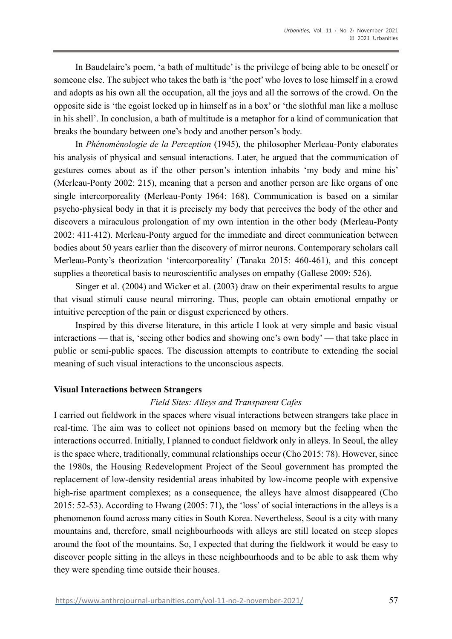In Baudelaire's poem, 'a bath of multitude' is the privilege of being able to be oneself or someone else. The subject who takes the bath is 'the poet' who loves to lose himself in a crowd and adopts as his own all the occupation, all the joys and all the sorrows of the crowd. On the opposite side is 'the egoist locked up in himself as in a box' or 'the slothful man like a mollusc in his shell'. In conclusion, a bath of multitude is a metaphor for a kind of communication that breaks the boundary between one's body and another person's body.

In *Phénoménologie de la Perception* (1945), the philosopher Merleau-Ponty elaborates his analysis of physical and sensual interactions. Later, he argued that the communication of gestures comes about as if the other person's intention inhabits 'my body and mine his' (Merleau-Ponty 2002: 215), meaning that a person and another person are like organs of one single intercorporeality (Merleau-Ponty 1964: 168). Communication is based on a similar psycho-physical body in that it is precisely my body that perceives the body of the other and discovers a miraculous prolongation of my own intention in the other body (Merleau-Ponty 2002: 411-412). Merleau-Ponty argued for the immediate and direct communication between bodies about 50 years earlier than the discovery of mirror neurons. Contemporary scholars call Merleau-Ponty's theorization 'intercorporeality' (Tanaka 2015: 460-461), and this concept supplies a theoretical basis to neuroscientific analyses on empathy (Gallese 2009: 526).

Singer et al. (2004) and Wicker et al. (2003) draw on their experimental results to argue that visual stimuli cause neural mirroring. Thus, people can obtain emotional empathy or intuitive perception of the pain or disgust experienced by others.

Inspired by this diverse literature, in this article I look at very simple and basic visual interactions — that is, 'seeing other bodies and showing one's own body' — that take place in public or semi-public spaces. The discussion attempts to contribute to extending the social meaning of such visual interactions to the unconscious aspects.

## **Visual Interactions between Strangers**

## *Field Sites: Alleys and Transparent Cafes*

I carried out fieldwork in the spaces where visual interactions between strangers take place in real-time. The aim was to collect not opinions based on memory but the feeling when the interactions occurred. Initially, I planned to conduct fieldwork only in alleys. In Seoul, the alley is the space where, traditionally, communal relationships occur (Cho 2015: 78). However, since the 1980s, the Housing Redevelopment Project of the Seoul government has prompted the replacement of low-density residential areas inhabited by low-income people with expensive high-rise apartment complexes; as a consequence, the alleys have almost disappeared (Cho 2015: 52-53). According to Hwang (2005: 71), the 'loss' of social interactions in the alleys is a phenomenon found across many cities in South Korea. Nevertheless, Seoul is a city with many mountains and, therefore, small neighbourhoods with alleys are still located on steep slopes around the foot of the mountains. So, I expected that during the fieldwork it would be easy to discover people sitting in the alleys in these neighbourhoods and to be able to ask them why they were spending time outside their houses.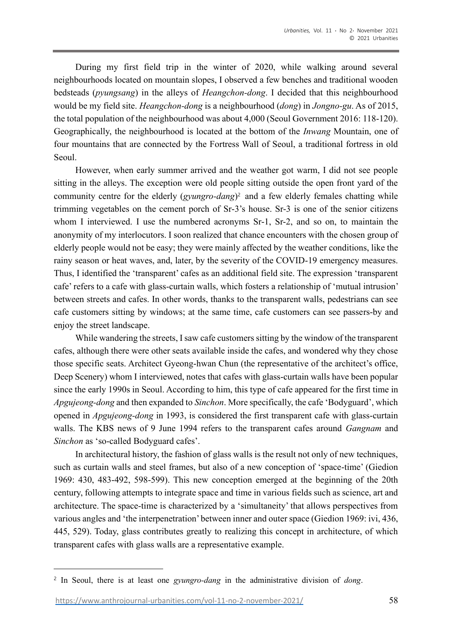During my first field trip in the winter of 2020, while walking around several neighbourhoods located on mountain slopes, I observed a few benches and traditional wooden bedsteads (*pyungsang*) in the alleys of *Heangchon-dong*. I decided that this neighbourhood would be my field site. *Heangchon-dong* is a neighbourhood (*dong*) in *Jongno-gu*. As of 2015, the total population of the neighbourhood was about 4,000 (Seoul Government 2016: 118-120). Geographically, the neighbourhood is located at the bottom of the *Inwang* Mountain, one of four mountains that are connected by the Fortress Wall of Seoul, a traditional fortress in old Seoul.

However, when early summer arrived and the weather got warm, I did not see people sitting in the alleys. The exception were old people sitting outside the open front yard of the community centre for the elderly (*gyungro-dang*) <sup>2</sup> and a few elderly females chatting while trimming vegetables on the cement porch of Sr-3's house. Sr-3 is one of the senior citizens whom I interviewed. I use the numbered acronyms Sr-1, Sr-2, and so on, to maintain the anonymity of my interlocutors. I soon realized that chance encounters with the chosen group of elderly people would not be easy; they were mainly affected by the weather conditions, like the rainy season or heat waves, and, later, by the severity of the COVID-19 emergency measures. Thus, I identified the 'transparent' cafes as an additional field site. The expression 'transparent cafe' refers to a cafe with glass-curtain walls, which fosters a relationship of 'mutual intrusion' between streets and cafes. In other words, thanks to the transparent walls, pedestrians can see cafe customers sitting by windows; at the same time, cafe customers can see passers-by and enjoy the street landscape.

While wandering the streets, I saw cafe customers sitting by the window of the transparent cafes, although there were other seats available inside the cafes, and wondered why they chose those specific seats. Architect Gyeong-hwan Chun (the representative of the architect's office, Deep Scenery) whom I interviewed, notes that cafes with glass-curtain walls have been popular since the early 1990s in Seoul. According to him, this type of cafe appeared for the first time in *Apgujeong-dong* and then expanded to *Sinchon*. More specifically, the cafe 'Bodyguard', which opened in *Apgujeong-dong* in 1993, is considered the first transparent cafe with glass-curtain walls. The KBS news of 9 June 1994 refers to the transparent cafes around *Gangnam* and *Sinchon* as 'so-called Bodyguard cafes'.

In architectural history, the fashion of glass walls is the result not only of new techniques, such as curtain walls and steel frames, but also of a new conception of 'space-time' (Giedion 1969: 430, 483-492, 598-599). This new conception emerged at the beginning of the 20th century, following attempts to integrate space and time in various fields such as science, art and architecture. The space-time is characterized by a 'simultaneity' that allows perspectives from various angles and 'the interpenetration' between inner and outer space (Giedion 1969: ivi, 436, 445, 529). Today, glass contributes greatly to realizing this concept in architecture, of which transparent cafes with glass walls are a representative example.

<sup>2</sup> In Seoul, there is at least one *gyungro-dang* in the administrative division of *dong*.

[https://www.anthrojournal-urbanities.com/vol-11-no-2-november-2021/](https://www.anthrojournal-urbanities.com/?page_id=1361&preview=true) 58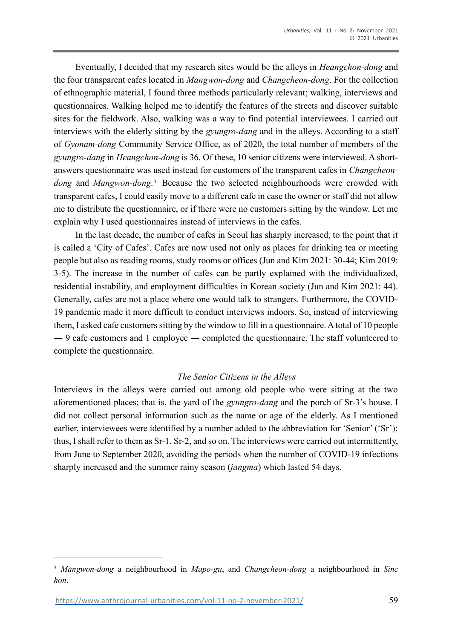Eventually, I decided that my research sites would be the alleys in *Heangchon-dong* and the four transparent cafes located in *Mangwon-dong* and *Changcheon-dong*. For the collection of ethnographic material, I found three methods particularly relevant; walking, interviews and questionnaires. Walking helped me to identify the features of the streets and discover suitable sites for the fieldwork. Also, walking was a way to find potential interviewees. I carried out interviews with the elderly sitting by the *gyungro-dang* and in the alleys. According to a staff of *Gyonam-dong* Community Service Office, as of 2020, the total number of members of the *gyungro-dang* in *Heangchon-dong* is 36. Of these, 10 senior citizens were interviewed. A shortanswers questionnaire was used instead for customers of the transparent cafes in *Changcheon*dong and Mangwon-dong.<sup>3</sup> Because the two selected neighbourhoods were crowded with transparent cafes, I could easily move to a different cafe in case the owner or staff did not allow me to distribute the questionnaire, or if there were no customers sitting by the window. Let me explain why I used questionnaires instead of interviews in the cafes.

In the last decade, the number of cafes in Seoul has sharply increased, to the point that it is called a 'City of Cafes'. Cafes are now used not only as places for drinking tea or meeting people but also as reading rooms, study rooms or offices (Jun and Kim 2021: 30-44; Kim 2019: 3-5). The increase in the number of cafes can be partly explained with the individualized, residential instability, and employment difficulties in Korean society (Jun and Kim 2021: 44). Generally, cafes are not a place where one would talk to strangers. Furthermore, the COVID-19 pandemic made it more difficult to conduct interviews indoors. So, instead of interviewing them, I asked cafe customers sitting by the window to fill in a questionnaire. A total of 10 people — 9 cafe customers and 1 employee — completed the questionnaire. The staff volunteered to complete the questionnaire.

## *The Senior Citizens in the Alleys*

Interviews in the alleys were carried out among old people who were sitting at the two aforementioned places; that is, the yard of the *gyungro-dang* and the porch of Sr-3's house. I did not collect personal information such as the name or age of the elderly. As I mentioned earlier, interviewees were identified by a number added to the abbreviation for 'Senior' ('Sr'); thus, I shall refer to them as Sr-1, Sr-2, and so on. The interviews were carried out intermittently, from June to September 2020, avoiding the periods when the number of COVID-19 infections sharply increased and the summer rainy season (*jangma*) which lasted 54 days.

<sup>3</sup> *Mangwon-dong* a neighbourhood in *Mapo-gu*, and *Changcheon-dong* a neighbourhood in *Sinc hon*.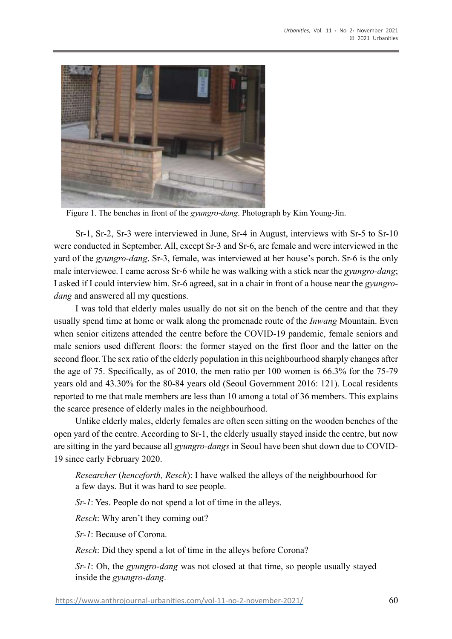

Figure 1. The benches in front of the *gyungro-dang*. Photograph by Kim Young-Jin.

Sr-1, Sr-2, Sr-3 were interviewed in June, Sr-4 in August, interviews with Sr-5 to Sr-10 were conducted in September. All, except Sr-3 and Sr-6, are female and were interviewed in the yard of the *gyungro-dang*. Sr-3, female, was interviewed at her house's porch. Sr-6 is the only male interviewee. I came across Sr-6 while he was walking with a stick near the *gyungro-dang*; I asked if I could interview him. Sr-6 agreed, sat in a chair in front of a house near the *gyungrodang* and answered all my questions.

I was told that elderly males usually do not sit on the bench of the centre and that they usually spend time at home or walk along the promenade route of the *Inwang* Mountain. Even when senior citizens attended the centre before the COVID-19 pandemic, female seniors and male seniors used different floors: the former stayed on the first floor and the latter on the second floor. The sex ratio of the elderly population in this neighbourhood sharply changes after the age of 75. Specifically, as of 2010, the men ratio per 100 women is 66.3% for the 75-79 years old and 43.30% for the 80-84 years old (Seoul Government 2016: 121). Local residents reported to me that male members are less than 10 among a total of 36 members. This explains the scarce presence of elderly males in the neighbourhood.

Unlike elderly males, elderly females are often seen sitting on the wooden benches of the open yard of the centre. According to Sr-1, the elderly usually stayed inside the centre, but now are sitting in the yard because all *gyungro-dangs* in Seoul have been shut down due to COVID-19 since early February 2020.

*Researcher* (*henceforth, Resch*): I have walked the alleys of the neighbourhood for a few days. But it was hard to see people.

*Sr-1*: Yes. People do not spend a lot of time in the alleys.

*Resch*: Why aren't they coming out?

*Sr-1*: Because of Corona.

*Resch*: Did they spend a lot of time in the alleys before Corona?

*Sr-1*: Oh, the *gyungro-dang* was not closed at that time, so people usually stayed inside the *gyungro-dang*.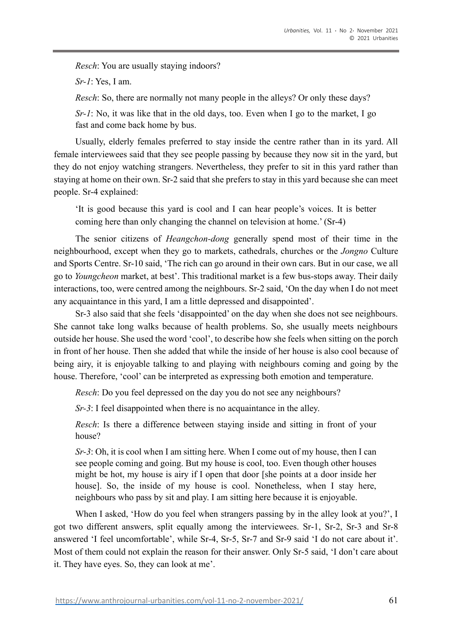*Resch*: You are usually staying indoors?

*Sr-1*: Yes, I am.

*Resch*: So, there are normally not many people in the alleys? Or only these days?

*Sr-1*: No, it was like that in the old days, too. Even when I go to the market, I go fast and come back home by bus.

Usually, elderly females preferred to stay inside the centre rather than in its yard. All female interviewees said that they see people passing by because they now sit in the yard, but they do not enjoy watching strangers. Nevertheless, they prefer to sit in this yard rather than staying at home on their own. Sr-2 said that she prefers to stay in this yard because she can meet people. Sr-4 explained:

'It is good because this yard is cool and I can hear people's voices. It is better coming here than only changing the channel on television at home.' (Sr-4)

The senior citizens of *Heangchon-dong* generally spend most of their time in the neighbourhood, except when they go to markets, cathedrals, churches or the *Jongno* Culture and Sports Centre. Sr-10 said, 'The rich can go around in their own cars. But in our case, we all go to *Youngcheon* market, at best'. This traditional market is a few bus-stops away. Their daily interactions, too, were centred among the neighbours. Sr-2 said, 'On the day when I do not meet any acquaintance in this yard, I am a little depressed and disappointed'.

Sr-3 also said that she feels 'disappointed' on the day when she does not see neighbours. She cannot take long walks because of health problems. So, she usually meets neighbours outside her house. She used the word 'cool', to describe how she feels when sitting on the porch in front of her house. Then she added that while the inside of her house is also cool because of being airy, it is enjoyable talking to and playing with neighbours coming and going by the house. Therefore, 'cool' can be interpreted as expressing both emotion and temperature.

*Resch*: Do you feel depressed on the day you do not see any neighbours?

*Sr-3*: I feel disappointed when there is no acquaintance in the alley.

*Resch*: Is there a difference between staying inside and sitting in front of your house?

*Sr-3*: Oh, it is cool when I am sitting here. When I come out of my house, then I can see people coming and going. But my house is cool, too. Even though other houses might be hot, my house is airy if I open that door [she points at a door inside her house]. So, the inside of my house is cool. Nonetheless, when I stay here, neighbours who pass by sit and play. I am sitting here because it is enjoyable.

When I asked, 'How do you feel when strangers passing by in the alley look at you?', I got two different answers, split equally among the interviewees. Sr-1, Sr-2, Sr-3 and Sr-8 answered 'I feel uncomfortable', while Sr-4, Sr-5, Sr-7 and Sr-9 said 'I do not care about it'. Most of them could not explain the reason for their answer. Only Sr-5 said, 'I don't care about it. They have eyes. So, they can look at me'.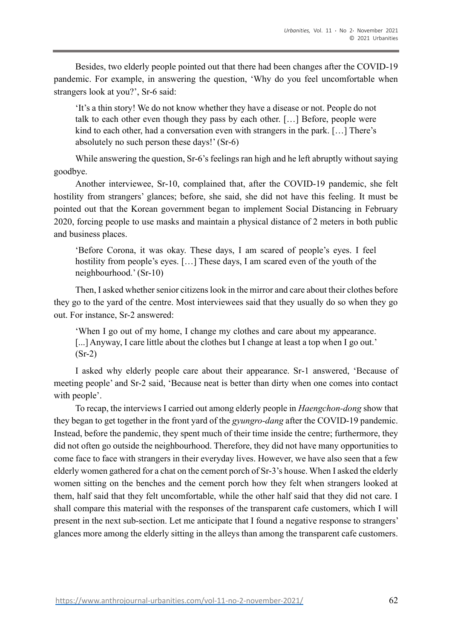Besides, two elderly people pointed out that there had been changes after the COVID-19 pandemic. For example, in answering the question, 'Why do you feel uncomfortable when strangers look at you?', Sr-6 said:

'It's a thin story! We do not know whether they have a disease or not. People do not talk to each other even though they pass by each other. […] Before, people were kind to each other, had a conversation even with strangers in the park. […] There's absolutely no such person these days!' (Sr-6)

While answering the question, Sr-6's feelings ran high and he left abruptly without saying goodbye.

Another interviewee, Sr-10, complained that, after the COVID-19 pandemic, she felt hostility from strangers' glances; before, she said, she did not have this feeling. It must be pointed out that the Korean government began to implement Social Distancing in February 2020, forcing people to use masks and maintain a physical distance of 2 meters in both public and business places.

'Before Corona, it was okay. These days, I am scared of people's eyes. I feel hostility from people's eyes. [...] These days, I am scared even of the youth of the neighbourhood.' (Sr-10)

Then, I asked whether senior citizens look in the mirror and care about their clothes before they go to the yard of the centre. Most interviewees said that they usually do so when they go out. For instance, Sr-2 answered:

'When I go out of my home, I change my clothes and care about my appearance. [...] Anyway, I care little about the clothes but I change at least a top when I go out.' (Sr-2)

I asked why elderly people care about their appearance. Sr-1 answered, 'Because of meeting people' and Sr-2 said, 'Because neat is better than dirty when one comes into contact with people'.

To recap, the interviews I carried out among elderly people in *Haengchon-dong* show that they began to get together in the front yard of the *gyungro-dang* after the COVID-19 pandemic. Instead, before the pandemic, they spent much of their time inside the centre; furthermore, they did not often go outside the neighbourhood. Therefore, they did not have many opportunities to come face to face with strangers in their everyday lives. However, we have also seen that a few elderly women gathered for a chat on the cement porch of Sr-3's house. When I asked the elderly women sitting on the benches and the cement porch how they felt when strangers looked at them, half said that they felt uncomfortable, while the other half said that they did not care. I shall compare this material with the responses of the transparent cafe customers, which I will present in the next sub-section. Let me anticipate that I found a negative response to strangers' glances more among the elderly sitting in the alleys than among the transparent cafe customers.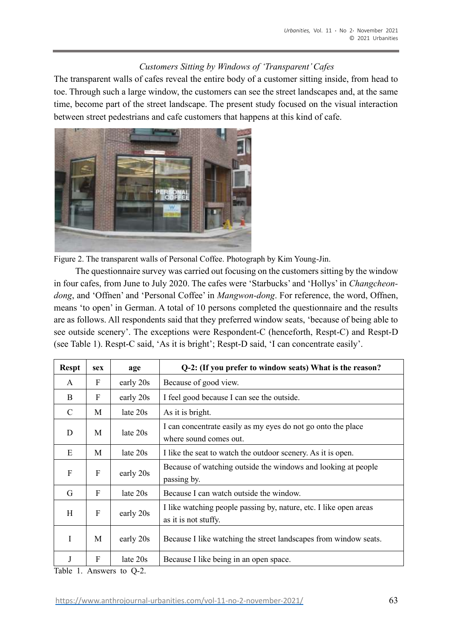# *Customers Sitting by Windows of 'Transparent' Cafes*

The transparent walls of cafes reveal the entire body of a customer sitting inside, from head to toe. Through such a large window, the customers can see the street landscapes and, at the same time, become part of the street landscape. The present study focused on the visual interaction between street pedestrians and cafe customers that happens at this kind of cafe.



Figure 2. The transparent walls of Personal Coffee. Photograph by Kim Young-Jin.

The questionnaire survey was carried out focusing on the customers sitting by the window in four cafes, from June to July 2020. The cafes were 'Starbucks' and 'Hollys' in *Changcheondong*, and 'Offnen' and 'Personal Coffee' in *Mangwon-dong*. For reference, the word, Offnen, means 'to open' in German. A total of 10 persons completed the questionnaire and the results are as follows. All respondents said that they preferred window seats, 'because of being able to see outside scenery'. The exceptions were Respondent-C (henceforth, Respt-C) and Respt-D (see Table 1). Respt-C said, 'As it is bright'; Respt-D said, 'I can concentrate easily'.

| <b>Respt</b> | sex | age        | Q-2: (If you prefer to window seats) What is the reason?                                  |  |  |
|--------------|-----|------------|-------------------------------------------------------------------------------------------|--|--|
| A            | F   | early 20s  | Because of good view.                                                                     |  |  |
| B            | F   | early 20s  | I feel good because I can see the outside.                                                |  |  |
| C            | М   | late $20s$ | As it is bright.                                                                          |  |  |
| D            | M   | late $20s$ | I can concentrate easily as my eyes do not go onto the place<br>where sound comes out.    |  |  |
| E            | M   | late $20s$ | I like the seat to watch the outdoor scenery. As it is open.                              |  |  |
| F            | F   | early 20s  | Because of watching outside the windows and looking at people<br>passing by.              |  |  |
| G            | F   | late 20s   | Because I can watch outside the window.                                                   |  |  |
| H            | F   | early 20s  | I like watching people passing by, nature, etc. I like open areas<br>as it is not stuffy. |  |  |
| T            | M   | early 20s  | Because I like watching the street landscapes from window seats.                          |  |  |
| J            | F   | late $20s$ | Because I like being in an open space.                                                    |  |  |

Table 1. Answers to Q-2.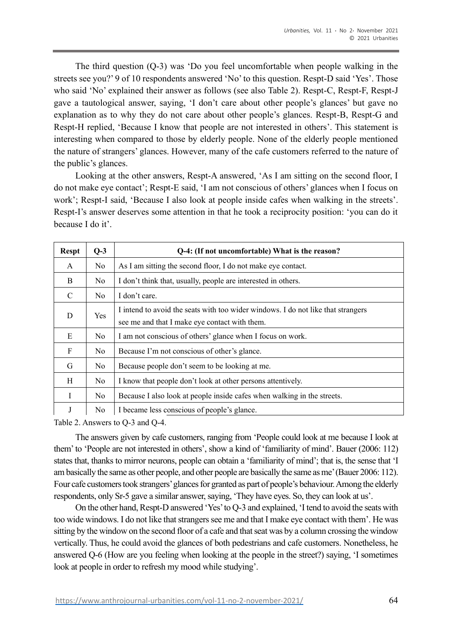The third question (Q-3) was 'Do you feel uncomfortable when people walking in the streets see you?' 9 of 10 respondents answered 'No' to this question. Respt-D said 'Yes'. Those who said 'No' explained their answer as follows (see also Table 2). Respt-C, Respt-F, Respt-J gave a tautological answer, saying, 'I don't care about other people's glances' but gave no explanation as to why they do not care about other people's glances. Respt-B, Respt-G and Respt-H replied, 'Because I know that people are not interested in others'. This statement is interesting when compared to those by elderly people. None of the elderly people mentioned the nature of strangers' glances. However, many of the cafe customers referred to the nature of the public's glances.

Looking at the other answers, Respt-A answered, 'As I am sitting on the second floor, I do not make eye contact'; Respt-E said, 'I am not conscious of others' glances when I focus on work'; Respt-I said, 'Because I also look at people inside cafes when walking in the streets'. Respt-I's answer deserves some attention in that he took a reciprocity position: 'you can do it because I do it'.

| <b>Respt</b>  | $Q-3$          | Q-4: (If not uncomfortable) What is the reason?                                                                                   |  |  |  |  |
|---------------|----------------|-----------------------------------------------------------------------------------------------------------------------------------|--|--|--|--|
| A             | No.            | As I am sitting the second floor, I do not make eye contact.                                                                      |  |  |  |  |
| B             | No.            | I don't think that, usually, people are interested in others.                                                                     |  |  |  |  |
| $\mathcal{C}$ | N <sub>o</sub> | I don't care.                                                                                                                     |  |  |  |  |
| D             | Yes            | I intend to avoid the seats with too wider windows. I do not like that strangers<br>see me and that I make eye contact with them. |  |  |  |  |
| E             | N <sub>o</sub> | I am not conscious of others' glance when I focus on work.                                                                        |  |  |  |  |
| F             | No.            | Because I'm not conscious of other's glance.                                                                                      |  |  |  |  |
| G             | N <sub>o</sub> | Because people don't seem to be looking at me.                                                                                    |  |  |  |  |
| H             | No.            | I know that people don't look at other persons attentively.                                                                       |  |  |  |  |
| I             | N <sub>o</sub> | Because I also look at people inside cafes when walking in the streets.                                                           |  |  |  |  |
| J             | N <sub>o</sub> | I became less conscious of people's glance.                                                                                       |  |  |  |  |

Table 2. Answers to Q-3 and Q-4.

The answers given by cafe customers, ranging from 'People could look at me because I look at them' to 'People are not interested in others', show a kind of 'familiarity of mind'. Bauer (2006: 112) states that, thanks to mirror neurons, people can obtain a 'familiarity of mind'; that is, the sense that 'I am basically the same as other people, and other people are basically the same as me' (Bauer 2006: 112). Four cafe customers took strangers' glances for granted as part of people's behaviour. Among the elderly respondents, only Sr-5 gave a similar answer, saying, 'They have eyes. So, they can look at us'.

On the other hand, Respt-D answered 'Yes' to Q-3 and explained, 'I tend to avoid the seats with too wide windows. I do not like that strangers see me and that I make eye contact with them'. He was sitting by the window on the second floor of a cafe and that seat was by a column crossing the window vertically. Thus, he could avoid the glances of both pedestrians and cafe customers. Nonetheless, he answered Q-6 (How are you feeling when looking at the people in the street?) saying, 'I sometimes look at people in order to refresh my mood while studying'.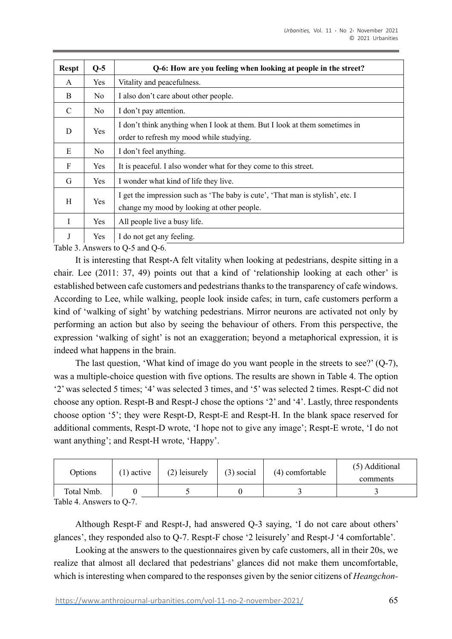| <b>Respt</b>  | $Q-5$      | Q-6: How are you feeling when looking at people in the street?                                                               |  |  |  |
|---------------|------------|------------------------------------------------------------------------------------------------------------------------------|--|--|--|
| A             | Yes        | Vitality and peacefulness.                                                                                                   |  |  |  |
| <sub>B</sub>  | No.        | I also don't care about other people.                                                                                        |  |  |  |
| $\mathcal{C}$ | No.        | I don't pay attention.                                                                                                       |  |  |  |
| D             | Yes        | I don't think anything when I look at them. But I look at them sometimes in<br>order to refresh my mood while studying.      |  |  |  |
| E             | No.        | I don't feel anything.                                                                                                       |  |  |  |
| F             | <b>Yes</b> | It is peaceful. I also wonder what for they come to this street.                                                             |  |  |  |
| G             | <b>Yes</b> | I wonder what kind of life they live.                                                                                        |  |  |  |
| H             | <b>Yes</b> | I get the impression such as 'The baby is cute', 'That man is stylish', etc. I<br>change my mood by looking at other people. |  |  |  |
| I             | Yes        | All people live a busy life.                                                                                                 |  |  |  |
| J             | Yes        | I do not get any feeling.                                                                                                    |  |  |  |

Table 3. Answers to Q-5 and Q-6.

It is interesting that Respt-A felt vitality when looking at pedestrians, despite sitting in a chair. Lee (2011: 37, 49) points out that a kind of 'relationship looking at each other' is established between cafe customers and pedestrians thanks to the transparency of cafe windows. According to Lee, while walking, people look inside cafes; in turn, cafe customers perform a kind of 'walking of sight' by watching pedestrians. Mirror neurons are activated not only by performing an action but also by seeing the behaviour of others. From this perspective, the expression 'walking of sight' is not an exaggeration; beyond a metaphorical expression, it is indeed what happens in the brain.

The last question, 'What kind of image do you want people in the streets to see?' (Q-7), was a multiple-choice question with five options. The results are shown in Table 4. The option '2' was selected 5 times; '4' was selected 3 times, and '5' was selected 2 times. Respt-C did not choose any option. Respt-B and Respt-J chose the options '2' and '4'. Lastly, three respondents choose option '5'; they were Respt-D, Respt-E and Respt-H. In the blank space reserved for additional comments, Respt-D wrote, 'I hope not to give any image'; Respt-E wrote, 'I do not want anything'; and Respt-H wrote, 'Happy'.

| Options    | $(1)$ active | (2) leisurely | $(3)$ social | (4) comfortable | (5) Additional<br>comments |
|------------|--------------|---------------|--------------|-----------------|----------------------------|
| Total Nmb. |              |               |              |                 |                            |

Table 4. Answers to Q-7.

Although Respt-F and Respt-J, had answered Q-3 saying, 'I do not care about others' glances', they responded also to Q-7. Respt-F chose '2 leisurely' and Respt-J '4 comfortable'.

Looking at the answers to the questionnaires given by cafe customers, all in their 20s, we realize that almost all declared that pedestrians' glances did not make them uncomfortable, which is interesting when compared to the responses given by the senior citizens of *Heangchon-*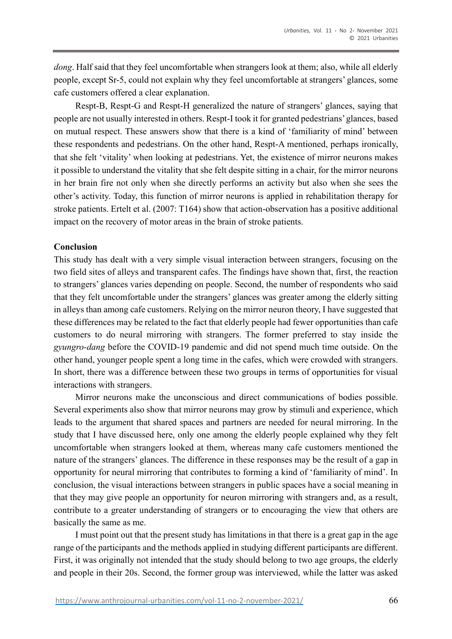*dong*. Half said that they feel uncomfortable when strangers look at them; also, while all elderly people, except Sr-5, could not explain why they feel uncomfortable at strangers' glances, some cafe customers offered a clear explanation.

Respt-B, Respt-G and Respt-H generalized the nature of strangers' glances, saying that people are not usually interested in others. Respt-I took it for granted pedestrians' glances, based on mutual respect. These answers show that there is a kind of 'familiarity of mind' between these respondents and pedestrians. On the other hand, Respt-A mentioned, perhaps ironically, that she felt 'vitality' when looking at pedestrians. Yet, the existence of mirror neurons makes it possible to understand the vitality that she felt despite sitting in a chair, for the mirror neurons in her brain fire not only when she directly performs an activity but also when she sees the other's activity. Today, this function of mirror neurons is applied in rehabilitation therapy for stroke patients. Ertelt et al. (2007: T164) show that action-observation has a positive additional impact on the recovery of motor areas in the brain of stroke patients.

## **Conclusion**

This study has dealt with a very simple visual interaction between strangers, focusing on the two field sites of alleys and transparent cafes. The findings have shown that, first, the reaction to strangers' glances varies depending on people. Second, the number of respondents who said that they felt uncomfortable under the strangers' glances was greater among the elderly sitting in alleys than among cafe customers. Relying on the mirror neuron theory, I have suggested that these differences may be related to the fact that elderly people had fewer opportunities than cafe customers to do neural mirroring with strangers. The former preferred to stay inside the *gyungro-dang* before the COVID-19 pandemic and did not spend much time outside. On the other hand, younger people spent a long time in the cafes, which were crowded with strangers. In short, there was a difference between these two groups in terms of opportunities for visual interactions with strangers.

Mirror neurons make the unconscious and direct communications of bodies possible. Several experiments also show that mirror neurons may grow by stimuli and experience, which leads to the argument that shared spaces and partners are needed for neural mirroring. In the study that I have discussed here, only one among the elderly people explained why they felt uncomfortable when strangers looked at them, whereas many cafe customers mentioned the nature of the strangers' glances. The difference in these responses may be the result of a gap in opportunity for neural mirroring that contributes to forming a kind of 'familiarity of mind'. In conclusion, the visual interactions between strangers in public spaces have a social meaning in that they may give people an opportunity for neuron mirroring with strangers and, as a result, contribute to a greater understanding of strangers or to encouraging the view that others are basically the same as me.

I must point out that the present study has limitations in that there is a great gap in the age range of the participants and the methods applied in studying different participants are different. First, it was originally not intended that the study should belong to two age groups, the elderly and people in their 20s. Second, the former group was interviewed, while the latter was asked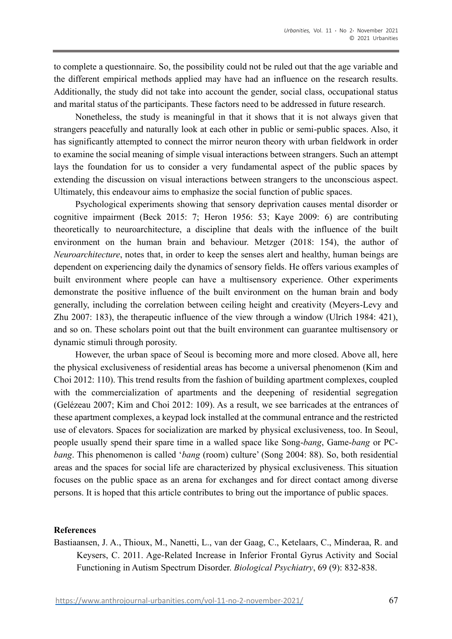to complete a questionnaire. So, the possibility could not be ruled out that the age variable and the different empirical methods applied may have had an influence on the research results. Additionally, the study did not take into account the gender, social class, occupational status and marital status of the participants. These factors need to be addressed in future research.

Nonetheless, the study is meaningful in that it shows that it is not always given that strangers peacefully and naturally look at each other in public or semi-public spaces. Also, it has significantly attempted to connect the mirror neuron theory with urban fieldwork in order to examine the social meaning of simple visual interactions between strangers. Such an attempt lays the foundation for us to consider a very fundamental aspect of the public spaces by extending the discussion on visual interactions between strangers to the unconscious aspect. Ultimately, this endeavour aims to emphasize the social function of public spaces.

Psychological experiments showing that sensory deprivation causes mental disorder or cognitive impairment (Beck 2015: 7; Heron 1956: 53; Kaye 2009: 6) are contributing theoretically to neuroarchitecture, a discipline that deals with the influence of the built environment on the human brain and behaviour. Metzger (2018: 154), the author of *Neuroarchitecture*, notes that, in order to keep the senses alert and healthy, human beings are dependent on experiencing daily the dynamics of sensory fields. He offers various examples of built environment where people can have a multisensory experience. Other experiments demonstrate the positive influence of the built environment on the human brain and body generally, including the correlation between ceiling height and creativity (Meyers-Levy and Zhu 2007: 183), the therapeutic influence of the view through a window (Ulrich 1984: 421), and so on. These scholars point out that the built environment can guarantee multisensory or dynamic stimuli through porosity.

However, the urban space of Seoul is becoming more and more closed. Above all, here the physical exclusiveness of residential areas has become a universal phenomenon (Kim and Choi 2012: 110). This trend results from the fashion of building apartment complexes, coupled with the commercialization of apartments and the deepening of residential segregation (Gelézeau 2007; Kim and Choi 2012: 109). As a result, we see barricades at the entrances of these apartment complexes, a keypad lock installed at the communal entrance and the restricted use of elevators. Spaces for socialization are marked by physical exclusiveness, too. In Seoul, people usually spend their spare time in a walled space like Song-*bang*, Game-*bang* or PC*bang*. This phenomenon is called '*bang* (room) culture' (Song 2004: 88). So, both residential areas and the spaces for social life are characterized by physical exclusiveness. This situation focuses on the public space as an arena for exchanges and for direct contact among diverse persons. It is hoped that this article contributes to bring out the importance of public spaces.

#### **References**

Bastiaansen, J. A., Thioux, M., Nanetti, L., van der Gaag, C., Ketelaars, C., Minderaa, R. and Keysers, C. 2011. Age-Related Increase in Inferior Frontal Gyrus Activity and Social Functioning in Autism Spectrum Disorder. *Biological Psychiatry*, 69 (9): 832-838.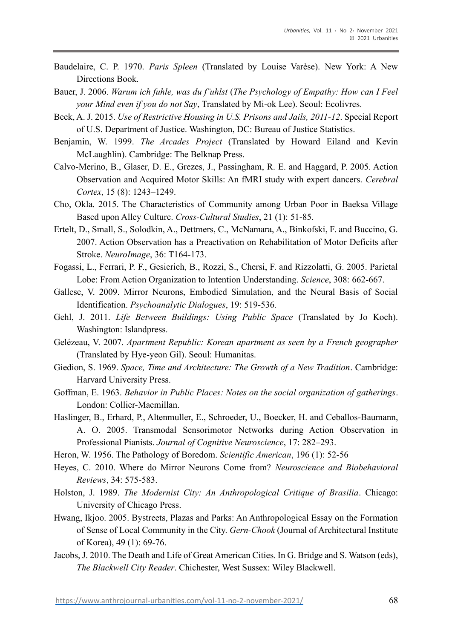- Baudelaire, C. P. 1970. *Paris Spleen* (Translated by Louise Varèse). New York: A New Directions Book.
- Bauer, J. 2006. *Warum ich fuhle, was du f¨uhlst* (*The Psychology of Empathy: How can I Feel your Mind even if you do not Say*, Translated by Mi-ok Lee). Seoul: Ecolivres.
- Beck, A. J. 2015. *Use of Restrictive Housing in U.S. Prisons and Jails, 2011-12*. Special Report of U.S. Department of Justice. Washington, DC: Bureau of Justice Statistics.
- Benjamin, W. 1999. *The Arcades Project* (Translated by Howard Eiland and Kevin McLaughlin). Cambridge: The Belknap Press.
- Calvo-Merino, B., Glaser, D. E., Grezes, J., Passingham, R. E. and Haggard, P. 2005. Action Observation and Acquired Motor Skills: An fMRI study with expert dancers. *Cerebral Cortex*, 15 (8): 1243–1249.
- Cho, Okla. 2015. The Characteristics of Community among Urban Poor in Baeksa Village Based upon Alley Culture. *Cross-Cultural Studies*, 21 (1): 51-85.
- Ertelt, D., Small, S., Solodkin, A., Dettmers, C., McNamara, A., Binkofski, F. and Buccino, G. 2007. Action Observation has a Preactivation on Rehabilitation of Motor Deficits after Stroke. *NeuroImage*, 36: T164-173.
- Fogassi, L., Ferrari, P. F., Gesierich, B., Rozzi, S., Chersi, F. and Rizzolatti, G. 2005. Parietal Lobe: From Action Organization to Intention Understanding. *Science*, 308: 662-667.
- Gallese, V. 2009. Mirror Neurons, Embodied Simulation, and the Neural Basis of Social Identification. *Psychoanalytic Dialogues*, 19: 519-536.
- Gehl, J. 2011. *Life Between Buildings: Using Public Space* (Translated by Jo Koch). Washington: Islandpress.
- Gelézeau, V. 2007. *Apartment Republic: Korean apartment as seen by a French geographer*  (Translated by Hye-yeon Gil). Seoul: Humanitas.
- Giedion, S. 1969. *Space, Time and Architecture: The Growth of a New Tradition*. Cambridge: Harvard University Press.
- Goffman, E. 1963. *Behavior in Public Places: Notes on the social organization of gatherings*. London: Collier-Macmillan.
- Haslinger, B., Erhard, P., Altenmuller, E., Schroeder, U., Boecker, H. and Ceballos-Baumann, A. O. 2005. Transmodal Sensorimotor Networks during Action Observation in Professional Pianists. *Journal of Cognitive Neuroscience*, 17: 282–293.
- Heron, W. 1956. The Pathology of Boredom. *Scientific American*, 196 (1): 52-56
- Heyes, C. 2010. Where do Mirror Neurons Come from? *Neuroscience and Biobehavioral Reviews*, 34: 575-583.
- Holston, J. 1989. *The Modernist City: An Anthropological Critique of Brasilia*. Chicago: University of Chicago Press.
- Hwang, Ikjoo. 2005. Bystreets, Plazas and Parks: An Anthropological Essay on the Formation of Sense of Local Community in the City. *Gern-Chook* (Journal of Architectural Institute of Korea), 49 (1): 69-76.
- Jacobs, J. 2010. The Death and Life of Great American Cities. In G. Bridge and S. Watson (eds), *The Blackwell City Reader*. Chichester, West Sussex: Wiley Blackwell.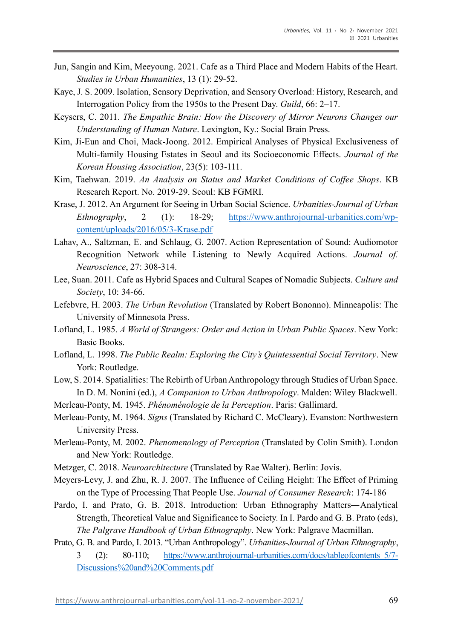- Jun, Sangin and Kim, Meeyoung. 2021. Cafe as a Third Place and Modern Habits of the Heart. *Studies in Urban Humanities*, 13 (1): 29-52.
- Kaye, J. S. 2009. Isolation, Sensory Deprivation, and Sensory Overload: History, Research, and Interrogation Policy from the 1950s to the Present Day. *Guild*, 66: 2–17.
- Keysers, C. 2011. *The Empathic Brain: How the Discovery of Mirror Neurons Changes our Understanding of Human Nature*. Lexington, Ky.: Social Brain Press.
- Kim, Ji-Eun and Choi, Mack-Joong. 2012. Empirical Analyses of Physical Exclusiveness of Multi-family Housing Estates in Seoul and its Socioeconomic Effects. *Journal of the Korean Housing Association*, 23(5): 103-111.
- Kim, Taehwan. 2019. *An Analysis on Status and Market Conditions of Coffee Shops*. KB Research Report. No. 2019-29. Seoul: KB FGMRI.
- Krase, J. 2012. An Argument for Seeing in Urban Social Science. *Urbanities-Journal of Urban Ethnography*, 2 (1): 18-29; [https://www.anthrojournal-urbanities.com/wp](https://www.anthrojournal-urbanities.com/wp-content/uploads/2016/05/3-Krase.pdf)[content/uploads/2016/05/3-Krase.pdf](https://www.anthrojournal-urbanities.com/wp-content/uploads/2016/05/3-Krase.pdf)
- Lahav, A., Saltzman, E. and Schlaug, G. 2007. Action Representation of Sound: Audiomotor Recognition Network while Listening to Newly Acquired Actions. *Journal of. Neuroscience*, 27: 308-314.
- Lee, Suan. 2011. Cafe as Hybrid Spaces and Cultural Scapes of Nomadic Subjects. *Culture and Society*, 10: 34-66.
- Lefebvre, H. 2003. *The Urban Revolution* (Translated by Robert Bononno). Minneapolis: The University of Minnesota Press.
- Lofland, L. 1985. *A World of Strangers: Order and Action in Urban Public Spaces*. New York: Basic Books.
- Lofland, L. 1998. *The Public Realm: Exploring the City's Quintessential Social Territory*. New York: Routledge.
- Low, S. 2014. Spatialities: The Rebirth of Urban Anthropology through Studies of Urban Space. In D. M. Nonini (ed.), *A Companion to Urban Anthropology*. Malden: Wiley Blackwell.
- Merleau-Ponty, M. 1945. *Phénoménologie de la Perception*. Paris: Gallimard.
- Merleau-Ponty, M. 1964. *Signs* (Translated by Richard C. McCleary). Evanston: Northwestern University Press.
- Merleau-Ponty, M. 2002. *Phenomenology of Perception* (Translated by Colin Smith). London and New York: Routledge.
- Metzger, C. 2018. *Neuroarchitecture* (Translated by Rae Walter). Berlin: Jovis.
- Meyers-Levy, J. and Zhu, R. J. 2007. The Influence of Ceiling Height: The Effect of Priming on the Type of Processing That People Use. *Journal of Consumer Research*: 174-186
- Pardo, I. and Prato, G. B. 2018. Introduction: Urban Ethnography Matters—Analytical Strength, Theoretical Value and Significance to Society. In I. Pardo and G. B. Prato (eds), *The Palgrave Handbook of Urban Ethnography*. New York: Palgrave Macmillan.
- Prato, G. B. and Pardo, I. 2013. "Urban Anthropology". *Urbanities-Journal of Urban Ethnography*, 3 (2): 80-110; [https://www.anthrojournal-urbanities.com/docs/tableofcontents\\_5/7-](https://www.anthrojournal-urbanities.com/docs/tableofcontents_5/7-Discussions%20and%20Comments.pdf) [Discussions%20and%20Comments.pdf](https://www.anthrojournal-urbanities.com/docs/tableofcontents_5/7-Discussions%20and%20Comments.pdf)